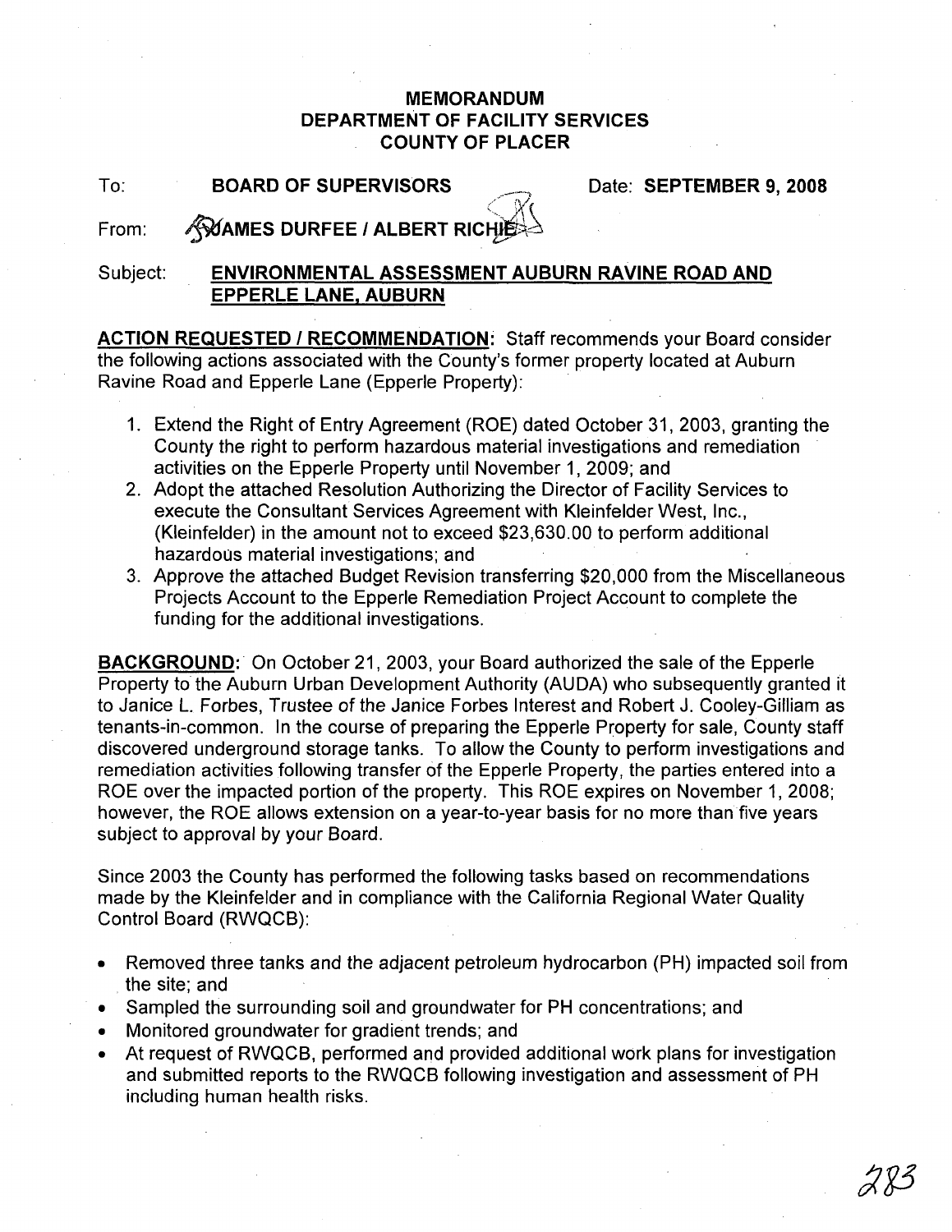## **MEMORANDUM DEPARTMENT OF FACILITY SERVICES COUNTY OF PLACER**

## To: Date: **SEPTEMBER 9, 2008 BOARD OF SUPERVISORS**

From:  $<$  X **AVAMES DURFEE / ALBERT RICHIE** 

## Subject: **ENVIRONMENTAL ASSESSMENT AUBURN RAVINE ROAD AND EPPERLE LANE, AUBURN**

**ACTION REQUESTED I RECOMMENDATION:** Staff recommends your Board consider the following actions associated with the County's former property located at Auburn Ravine Road and Epperle Lane (Epperle Property):

- 1. Extend the Right of Entry Agreement (ROE) dated October 31, 2003, granting the County the right to perform hazardous material investigations and remediation activities on the Epperle Property until November 1, 2009; and
- 2. Adopt the attached Resolution Authorizing the Director of Facility Services to execute the Consultant Services Agreement with Kleinfelder West, Inc., (Kleinfelder) in the amount not to exceed \$23,630.00 to perform additional hazardous material investigations; and
- 3. Approve the attached Budget Revision transferring \$20,000 from the Miscellaneous Projects Account to the Epperle Remediation Project Account to complete the funding for the additional investigations.

**BACKGROUND:'** On October 21, 2003, your Board authorized the sale of the Epperle Property to the Auburn Urban Development Authority (AUDA) who subsequently granted it to Janice L. Forbes, Trustee of the Janice Forbes Interest and Robert J. Cooley-Gilliam as tenants-in-common. In the course of preparing the Epperle Property for sale, County staff discovered underground storage tanks. To allow the County to perform investigations and remediation activities following transfer of the Epperle Property, the parties entered into a ROE over the impacted portion of the property. This ROE expires on November 1, 2008; however, the ROE allows extension on a year-to-year basis for no more than five years subject to approval by your Board.

Since 2003 the County has performed the following tasks based on recommendations made by the Kleinfelder and in compliance with the California Regional Water Quality Control Board (RWQCB):

- Removed three tanks and the adjacent petroleum hydrocarbon (PH) impacted soil from the site; and
- Sampled the surrounding soil and groundwater for PH concentrations; and
- Monitored groundwater for gradient trends; and
- At request of RWQCB, performed and provided additional work plans for investigation and submitted reports to the RWQCB following investigation and assessment of PH including human health risks.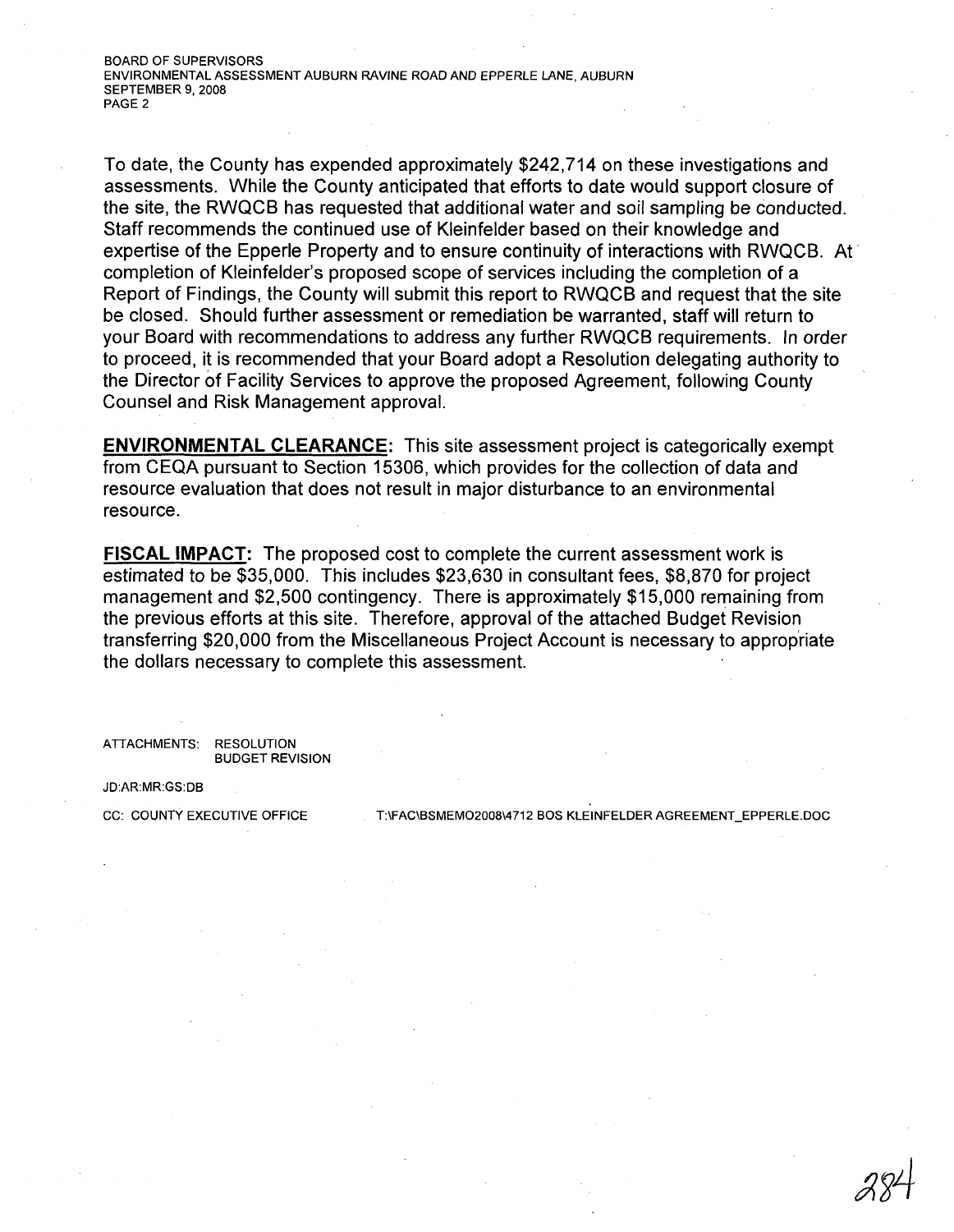To date, the County has expended approximately \$242,714 on these investigations and assessments. While the County anticipated that efforts to date would support closure of the site, the RWQCB has requested that additional water and soil sampling be conducted. Staff recommends the continued use of Kleinfelder based on their knowledge and expertise of the Epperle Property and to ensure continuity of interactions with RWQCB. At completion of Kleinfelder's proposed scope of services including the completion of a Report of Findings, the County will submit this report to RWQCB and request that the site be closed. Should further assessment or remediation be warranted, staff will return to your Board with recommendations to address any further RWQCB requirements. In order to proceed, it is recommended that your Board adopt a Resolution delegating authority to the Director of Facility Services to approve the proposed Agreement, following County Counsel and Risk Management approval.

**ENVIRONMENTAL CLEARANCE:** This site assessment project is categorically exempt from CEQA pursuant to Section 15306, which provides for the collection of data and resource evaluation that does not result in major disturbance to an environmental resource.

**FISCAL IMPACT:** The proposed cost to complete the current assessment work is estimated to be \$35,000. This includes \$23,630 in consultant fees, \$8,870 for project management and \$2,500 contingency. There is approximately \$15,000 remaining from the previous efforts at this site. Therefore, approval of the attached Budget Revision transferring \$20,000 from the Miscellaneous Project Account is necessary to appropriate the dollars necessary to complete this assessment.

ATIACHMENTS: RESOLUTION BUDGET REVISION

JD:AR:MR:GS:DB

CC: COUNTY EXECUTIVE OFFICE T:\FAC\BSMEMO2008\4712 BOS KLEINFELDER AGREEMENT\_EPPERLE.DOC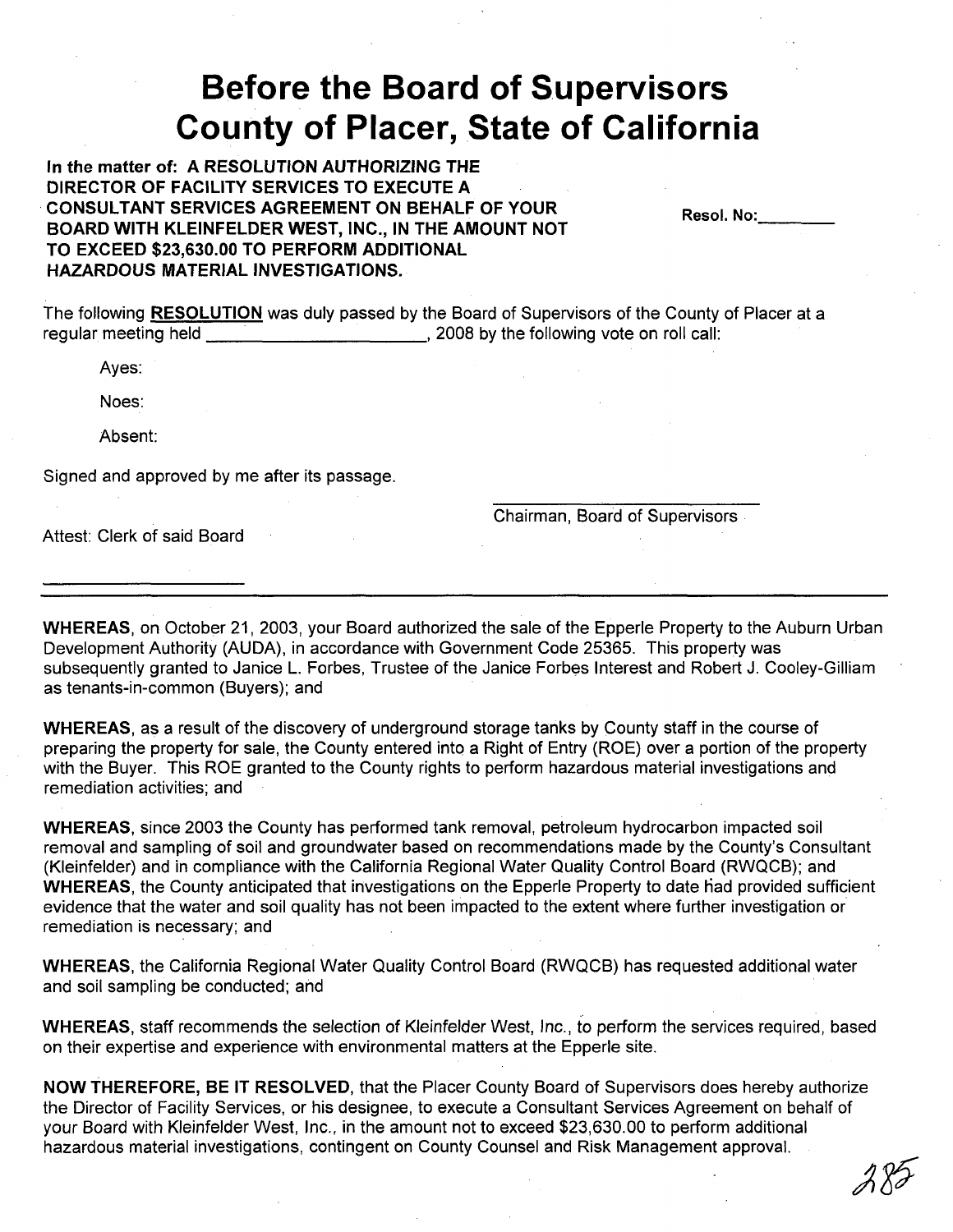## **Before the Board of Supervisors County of Placer, State of California**

**In the matter of: A RESOLUTION AUTHORIZING THE DIRECTOR OF FACILITY SERVICES TO EXECUTE A** .**CONSULTANT SERVICES AGREEMENT ON BEHALF OF YOUR BOARD WITH KLEINFELDER WEST, INC., IN THE AMOUNT NOT TO EXCEED \$23,630.00 TO PERFORM ADDITIONAL HAZARDOUS MATERIAL INVESTIGATIONS.**

**Reso!.** No: \_

The following **RESOLUTION** was duly passed by the Board of Supervisors of the County of Placer at a regular meeting held **Fig. 2008** by the following vote on roll call:

Ayes:

Noes:

Absent:

Signed and approved by me after its passage.

Chairman, Board of Supervisors

Attest: Clerk of said Board

**WHEREAS,** on October 21, 2003, your Board authorized the sale of the Epperle Property to the Auburn Urban Development Authority (AUDA), in accordance with Government Code 25365. This property was subsequently granted to Janice L. Forbes, Trustee of the Janice Forbes Interest and Robert J. Cooley-Gilliam as tenants-in-common (Buyers); and

**WHEREAS,** as a result of the discovery of underground storage tanks by County staff in the course of preparing the property for sale, the County entered into a Right of Entry (ROE) over a portion of the property with the Buyer. This ROE granted to the County rights to perform hazardous material investigations and remediation activities; and

**WHEREAS,** since 2003 the County has performed tank removal, petroleum hydrocarbon impacted soil removal and sampling of soil and groundwater based on recommendations made by the County's Consultant (Kleinfelder) and in compliance with the California Regional Water Quality Control Board (RWQCB); and WHEREAS, the County anticipated that investigations on the Epperle Property to date had provided sufficient evidence that the water and soil quality has not been impacted to the extent where further investigation or remediation is necessary; and

**WHEREAS,** the California Regional Water Quality Control Board (RWQCB) has requested additional water and soil sampling be conducted; and

**WHEREAS,** staff recommends the selection of Kleinfelder West, Inc., to perform the services required, based on their expertise and experience with environmental matters at the Epperle site.

**NOW THEREFORE, BE IT RESOLVED,** that the Placer County Board of Supervisors does hereby authorize the Director of Facility Services, or his designee, to execute a Consultant Services Agreement on behalf of your Board with Kleinfelder West, Inc., in the amount not to exceed \$23,630.00 to perform additional hazardous material investigations, contingent on County Counsel and Risk Management approval.